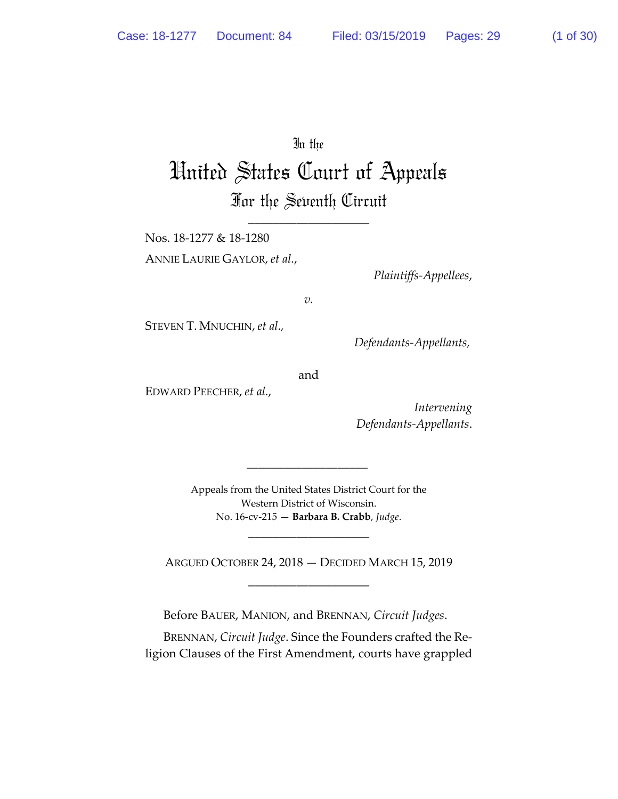# In the

# United States Court of Appeals For the Seventh Circuit

\_\_\_\_\_\_\_\_\_\_\_\_\_\_\_\_\_\_\_\_

Nos. 18-1277 & 18-1280 ANNIE LAURIE GAYLOR, *et al.*,

*Plaintiffs-Appellees*,

*v.* 

STEVEN T. MNUCHIN, *et al.,* 

 *Defendants-Appellants,* 

and

EDWARD PEECHER, *et al.*,

*Intervening Defendants-Appellants*.

Appeals from the United States District Court for the Western District of Wisconsin. No. 16-cv-215 — **Barbara B. Crabb**, *Judge*.

\_\_\_\_\_\_\_\_\_\_\_\_\_\_\_\_\_\_\_\_

 $\overline{\phantom{a}}$  ,  $\overline{\phantom{a}}$  ,  $\overline{\phantom{a}}$  ,  $\overline{\phantom{a}}$  ,  $\overline{\phantom{a}}$  ,  $\overline{\phantom{a}}$  ,  $\overline{\phantom{a}}$  ,  $\overline{\phantom{a}}$  ,  $\overline{\phantom{a}}$  ,  $\overline{\phantom{a}}$  ,  $\overline{\phantom{a}}$  ,  $\overline{\phantom{a}}$  ,  $\overline{\phantom{a}}$  ,  $\overline{\phantom{a}}$  ,  $\overline{\phantom{a}}$  ,  $\overline{\phantom{a}}$ 

ARGUED OCTOBER 24, 2018 — DECIDED MARCH 15, 2019 \_\_\_\_\_\_\_\_\_\_\_\_\_\_\_\_\_\_\_\_

Before BAUER, MANION, and BRENNAN, *Circuit Judges*.

BRENNAN, *Circuit Judge*. Since the Founders crafted the Religion Clauses of the First Amendment, courts have grappled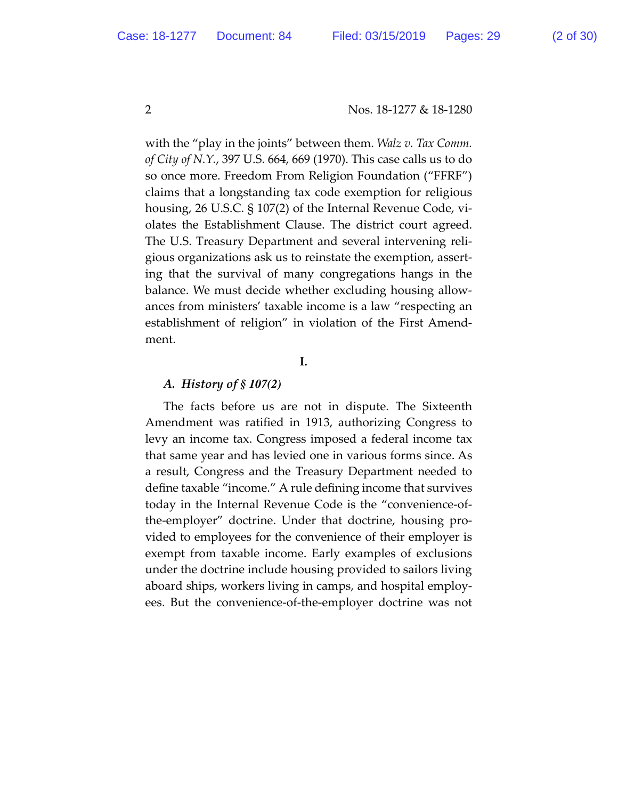with the "play in the joints" between them. *Walz v. Tax Comm. of City of N.Y.*, 397 U.S. 664, 669 (1970). This case calls us to do so once more. Freedom From Religion Foundation ("FFRF") claims that a longstanding tax code exemption for religious housing, 26 U.S.C. § 107(2) of the Internal Revenue Code, violates the Establishment Clause. The district court agreed. The U.S. Treasury Department and several intervening religious organizations ask us to reinstate the exemption, asserting that the survival of many congregations hangs in the balance. We must decide whether excluding housing allowances from ministers' taxable income is a law "respecting an establishment of religion" in violation of the First Amendment.

**I.**

### *A. History of § 107(2)*

The facts before us are not in dispute. The Sixteenth Amendment was ratified in 1913, authorizing Congress to levy an income tax. Congress imposed a federal income tax that same year and has levied one in various forms since. As a result, Congress and the Treasury Department needed to define taxable "income." A rule defining income that survives today in the Internal Revenue Code is the "convenience-ofthe-employer" doctrine. Under that doctrine, housing provided to employees for the convenience of their employer is exempt from taxable income. Early examples of exclusions under the doctrine include housing provided to sailors living aboard ships, workers living in camps, and hospital employees. But the convenience-of-the-employer doctrine was not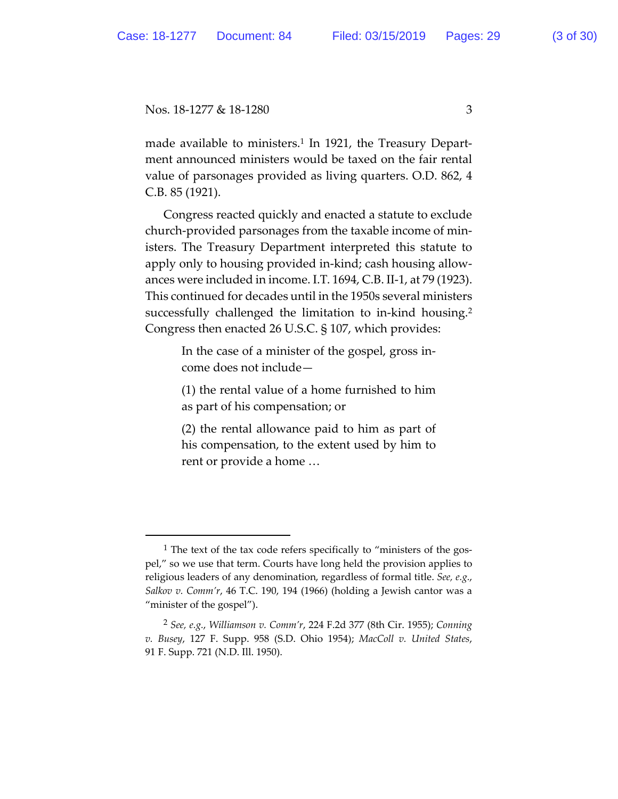$\overline{a}$ 

made available to ministers.<sup>1</sup> In 1921, the Treasury Department announced ministers would be taxed on the fair rental value of parsonages provided as living quarters. O.D. 862, 4 C.B. 85 (1921).

Congress reacted quickly and enacted a statute to exclude church-provided parsonages from the taxable income of ministers. The Treasury Department interpreted this statute to apply only to housing provided in-kind; cash housing allowances were included in income. I.T. 1694, C.B. II-1, at 79 (1923). This continued for decades until in the 1950s several ministers successfully challenged the limitation to in-kind housing.2 Congress then enacted 26 U.S.C. § 107, which provides:

> In the case of a minister of the gospel, gross income does not include—

> (1) the rental value of a home furnished to him as part of his compensation; or

> (2) the rental allowance paid to him as part of his compensation, to the extent used by him to rent or provide a home …

 $<sup>1</sup>$  The text of the tax code refers specifically to "ministers of the gos-</sup> pel," so we use that term. Courts have long held the provision applies to religious leaders of any denomination, regardless of formal title. *See, e.g.*, *Salkov v. Comm'r*, 46 T.C. 190, 194 (1966) (holding a Jewish cantor was a "minister of the gospel").

<sup>2</sup> *See, e.g.*, *Williamson v. Comm'r*, 224 F.2d 377 (8th Cir. 1955); *Conning v. Busey*, 127 F. Supp. 958 (S.D. Ohio 1954); *MacColl v. United States*, 91 F. Supp. 721 (N.D. Ill. 1950).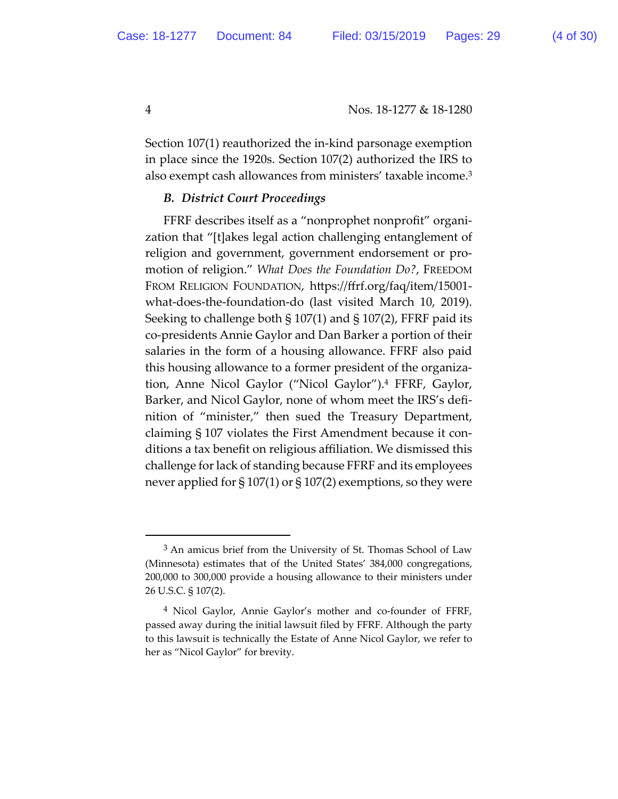Section 107(1) reauthorized the in-kind parsonage exemption in place since the 1920s. Section 107(2) authorized the IRS to also exempt cash allowances from ministers' taxable income.3

# *B. District Court Proceedings*

FFRF describes itself as a "nonprophet nonprofit" organization that "[t]akes legal action challenging entanglement of religion and government, government endorsement or promotion of religion." *What Does the Foundation Do?*, FREEDOM FROM RELIGION FOUNDATION, htps://ffrf.org/faq/item/15001 what-does-the-foundation-do (last visited March 10, 2019). Seeking to challenge both § 107(1) and § 107(2), FFRF paid its co-presidents Annie Gaylor and Dan Barker a portion of their salaries in the form of a housing allowance. FFRF also paid this housing allowance to a former president of the organization, Anne Nicol Gaylor ("Nicol Gaylor").4 FFRF, Gaylor, Barker, and Nicol Gaylor, none of whom meet the IRS's definition of "minister," then sued the Treasury Department, claiming § 107 violates the First Amendment because it conditions a tax benefit on religious affiliation. We dismissed this challenge for lack of standing because FFRF and its employees never applied for  $\S 107(1)$  or  $\S 107(2)$  exemptions, so they were

 $\overline{a}$ 

 $3$  An amicus brief from the University of St. Thomas School of Law (Minnesota) estimates that of the United States' 384,000 congregations, 200,000 to 300,000 provide a housing allowance to their ministers under 26 U.S.C. § 107(2).

<sup>4</sup> Nicol Gaylor, Annie Gaylor's mother and co-founder of FFRF, passed away during the initial lawsuit filed by FFRF. Although the party to this lawsuit is technically the Estate of Anne Nicol Gaylor, we refer to her as "Nicol Gaylor" for brevity.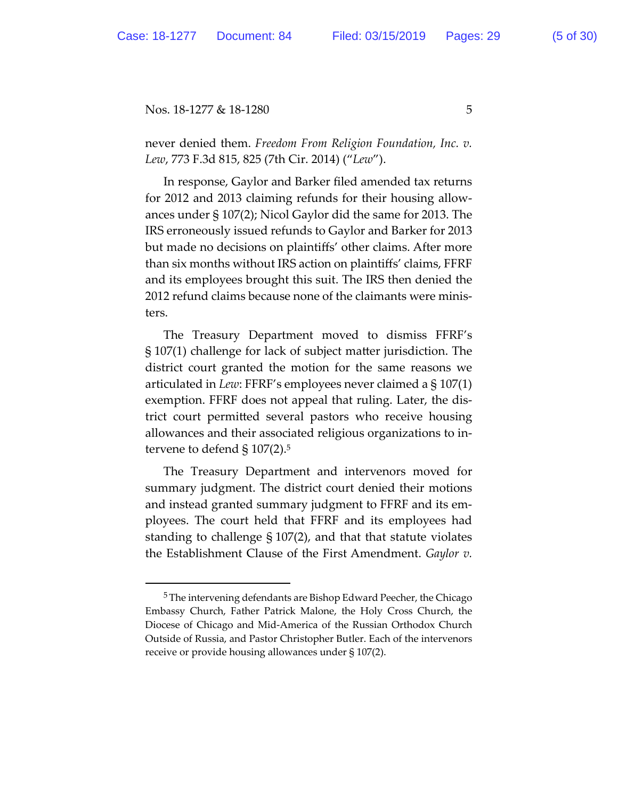never denied them. *Freedom From Religion Foundation, Inc. v. Lew*, 773 F.3d 815, 825 (7th Cir. 2014) ("*Lew*").

In response, Gaylor and Barker filed amended tax returns for 2012 and 2013 claiming refunds for their housing allowances under § 107(2); Nicol Gaylor did the same for 2013. The IRS erroneously issued refunds to Gaylor and Barker for 2013 but made no decisions on plaintiffs' other claims. After more than six months without IRS action on plaintiffs' claims, FFRF and its employees brought this suit. The IRS then denied the 2012 refund claims because none of the claimants were ministers.

The Treasury Department moved to dismiss FFRF's § 107(1) challenge for lack of subject mater jurisdiction. The district court granted the motion for the same reasons we articulated in *Lew*: FFRF's employees never claimed a § 107(1) exemption. FFRF does not appeal that ruling. Later, the district court permited several pastors who receive housing allowances and their associated religious organizations to intervene to defend  $\S 107(2).5$ 

The Treasury Department and intervenors moved for summary judgment. The district court denied their motions and instead granted summary judgment to FFRF and its employees. The court held that FFRF and its employees had standing to challenge § 107(2), and that that statute violates the Establishment Clause of the First Amendment. *Gaylor v.* 

 <sup>5</sup> The intervening defendants are Bishop Edward Peecher, the Chicago Embassy Church, Father Patrick Malone, the Holy Cross Church, the Diocese of Chicago and Mid-America of the Russian Orthodox Church Outside of Russia, and Pastor Christopher Butler. Each of the intervenors receive or provide housing allowances under § 107(2).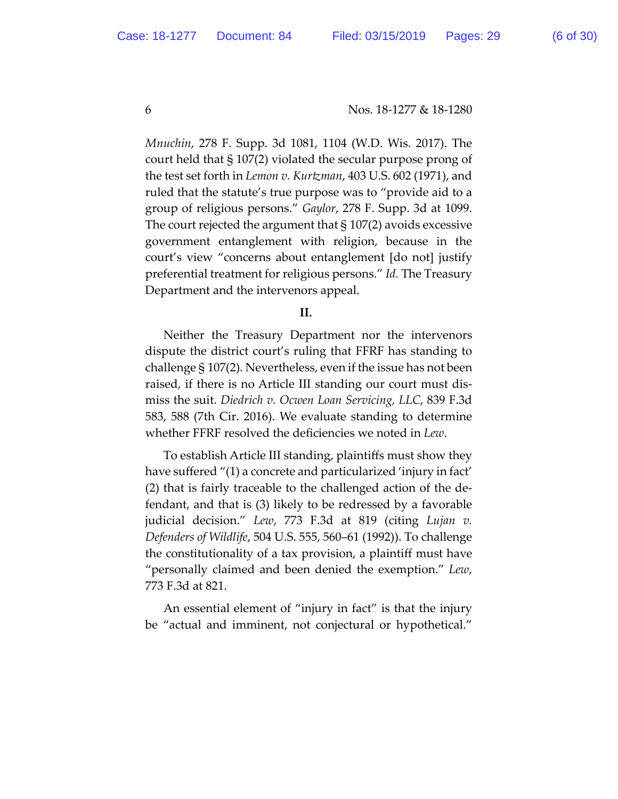*Mnuchin*, 278 F. Supp. 3d 1081, 1104 (W.D. Wis. 2017). The court held that § 107(2) violated the secular purpose prong of the test set forth in *Lemon v. Kurtman*, 403 U.S. 602 (1971), and ruled that the statute's true purpose was to "provide aid to a group of religious persons." *Gaylor*, 278 F. Supp. 3d at 1099. The court rejected the argument that § 107(2) avoids excessive government entanglement with religion, because in the court's view "concerns about entanglement [do not] justify preferential treatment for religious persons." *Id.* The Treasury Department and the intervenors appeal.

#### **II.**

Neither the Treasury Department nor the intervenors dispute the district court's ruling that FFRF has standing to challenge § 107(2). Nevertheless, even if the issue has not been raised, if there is no Article III standing our court must dismiss the suit. *Diedrich v. Ocwen Loan Servicing, LLC*, 839 F.3d 583, 588 (7th Cir. 2016). We evaluate standing to determine whether FFRF resolved the deficiencies we noted in *Lew*.

To establish Article III standing, plaintiffs must show they have suffered "(1) a concrete and particularized 'injury in fact' (2) that is fairly traceable to the challenged action of the defendant, and that is (3) likely to be redressed by a favorable judicial decision." *Lew*, 773 F.3d at 819 (citing *Lujan v. Defenders of Wildlife*, 504 U.S. 555, 560–61 (1992)). To challenge the constitutionality of a tax provision, a plaintiff must have "personally claimed and been denied the exemption." *Lew*, 773 F.3d at 821.

An essential element of "injury in fact" is that the injury be "actual and imminent, not conjectural or hypothetical."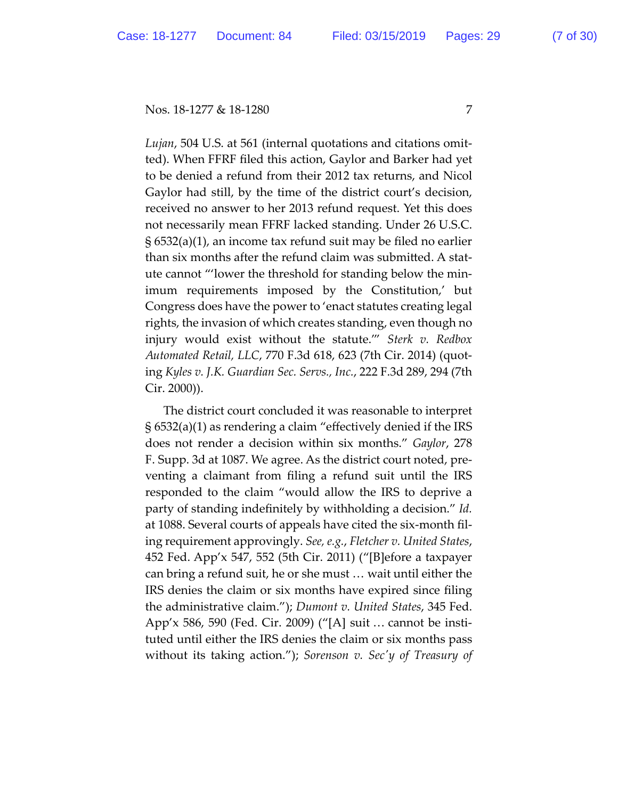*Lujan*, 504 U.S. at 561 (internal quotations and citations omitted). When FFRF filed this action, Gaylor and Barker had yet to be denied a refund from their 2012 tax returns, and Nicol Gaylor had still, by the time of the district court's decision, received no answer to her 2013 refund request. Yet this does not necessarily mean FFRF lacked standing. Under 26 U.S.C. § 6532(a)(1), an income tax refund suit may be filed no earlier than six months after the refund claim was submited. A statute cannot "'lower the threshold for standing below the minimum requirements imposed by the Constitution,' but Congress does have the power to 'enact statutes creating legal rights, the invasion of which creates standing, even though no injury would exist without the statute.'" *Sterk v. Redbox Automated Retail, LLC*, 770 F.3d 618, 623 (7th Cir. 2014) (quoting *Kyles v. J.K. Guardian Sec. Servs., Inc.*, 222 F.3d 289, 294 (7th Cir. 2000)).

The district court concluded it was reasonable to interpret § 6532(a)(1) as rendering a claim "effectively denied if the IRS does not render a decision within six months." *Gaylor*, 278 F. Supp. 3d at 1087. We agree. As the district court noted, preventing a claimant from filing a refund suit until the IRS responded to the claim "would allow the IRS to deprive a party of standing indefinitely by withholding a decision." *Id.* at 1088. Several courts of appeals have cited the six-month filing requirement approvingly. *See, e.g.*, *Fletcher v. United States*, 452 Fed. App'x 547, 552 (5th Cir. 2011) ("[B]efore a taxpayer can bring a refund suit, he or she must … wait until either the IRS denies the claim or six months have expired since filing the administrative claim."); *Dumont v. United States*, 345 Fed. App'x 586, 590 (Fed. Cir. 2009) ("[A] suit … cannot be instituted until either the IRS denies the claim or six months pass without its taking action."); *Sorenson v. Secʹy of Treasury of*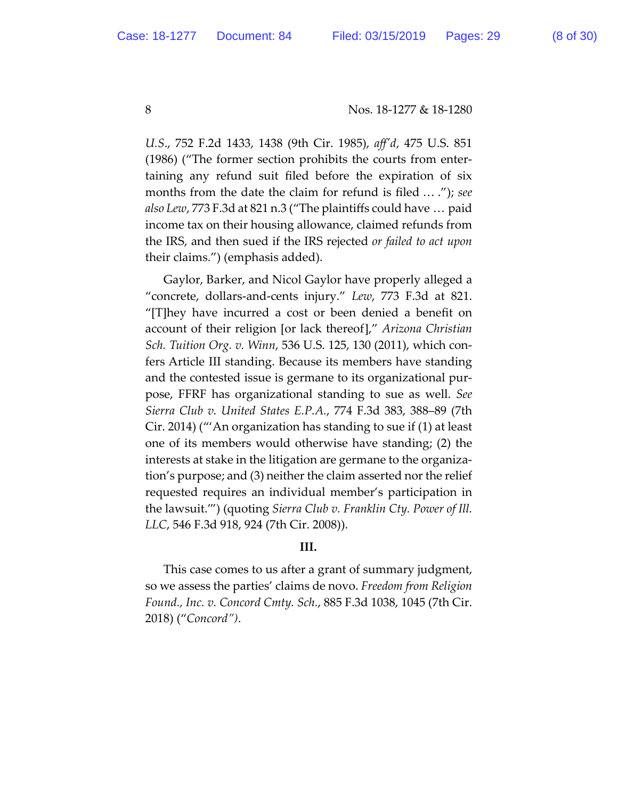*U.S*., 752 F.2d 1433, 1438 (9th Cir. 1985), *affʹd*, 475 U.S. 851 (1986) ("The former section prohibits the courts from entertaining any refund suit filed before the expiration of six months from the date the claim for refund is filed … ."); *see also Lew*, 773 F.3d at 821 n.3 ("The plaintiffs could have … paid income tax on their housing allowance, claimed refunds from the IRS, and then sued if the IRS rejected *or failed to act upon* their claims.") (emphasis added).

Gaylor, Barker, and Nicol Gaylor have properly alleged a "concrete, dollars-and-cents injury." *Lew*, 773 F.3d at 821. "[T]hey have incurred a cost or been denied a benefit on account of their religion [or lack thereof]," *Arizona Christian Sch. Tuition Org. v. Winn*, 536 U.S. 125, 130 (2011), which confers Article III standing. Because its members have standing and the contested issue is germane to its organizational purpose, FFRF has organizational standing to sue as well. *See Sierra Club v. United States E.P.A.*, 774 F.3d 383, 388–89 (7th Cir. 2014) ("'An organization has standing to sue if (1) at least one of its members would otherwise have standing; (2) the interests at stake in the litigation are germane to the organization's purpose; and (3) neither the claim asserted nor the relief requested requires an individual member's participation in the lawsuit.'") (quoting *Sierra Club v. Franklin Cty. Power of Ill. LLC*, 546 F.3d 918, 924 (7th Cir. 2008)).

# **III.**

This case comes to us after a grant of summary judgment, so we assess the parties' claims de novo. *Freedom from Religion Found., Inc. v. Concord Cmty. Sch.*, 885 F.3d 1038, 1045 (7th Cir. 2018) ("*Concord")*.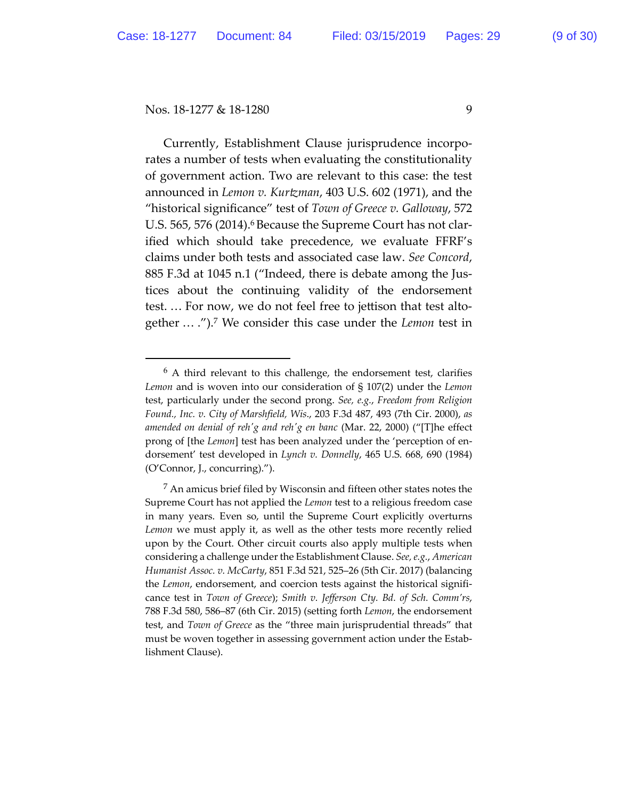$\overline{a}$ 

Currently, Establishment Clause jurisprudence incorporates a number of tests when evaluating the constitutionality of government action. Two are relevant to this case: the test announced in *Lemon v. Kurtman*, 403 U.S. 602 (1971), and the "historical significance" test of *Town of Greece v. Galloway*, 572 U.S. 565, 576 (2014).<sup>6</sup> Because the Supreme Court has not clarified which should take precedence, we evaluate FFRF's claims under both tests and associated case law. *See Concord*, 885 F.3d at 1045 n.1 ("Indeed, there is debate among the Justices about the continuing validity of the endorsement test. … For now, we do not feel free to jetison that test altogether … .").7 We consider this case under the *Lemon* test in

 $6$  A third relevant to this challenge, the endorsement test, clarifies *Lemon* and is woven into our consideration of § 107(2) under the *Lemon* test, particularly under the second prong. *See, e.g.*, *Freedom from Religion Found., Inc. v. City of Marshfield, Wis*., 203 F.3d 487, 493 (7th Cir. 2000), *as amended on denial of rehʹg and rehʹg en banc* (Mar. 22, 2000) ("[T]he effect prong of [the *Lemon*] test has been analyzed under the 'perception of endorsement' test developed in *Lynch v. Donnelly*, 465 U.S. 668, 690 (1984) (O'Connor, J., concurring).").

 $<sup>7</sup>$  An amicus brief filed by Wisconsin and fifteen other states notes the</sup> Supreme Court has not applied the *Lemon* test to a religious freedom case in many years. Even so, until the Supreme Court explicitly overturns *Lemon* we must apply it, as well as the other tests more recently relied upon by the Court. Other circuit courts also apply multiple tests when considering a challenge under the Establishment Clause. *See, e.g.*, *American Humanist Assoc. v. McCarty*, 851 F.3d 521, 525–26 (5th Cir. 2017) (balancing the *Lemon*, endorsement, and coercion tests against the historical significance test in *Town of Greece*); *Smith v. Jefferson Cty. Bd. of Sch. Comm'rs*, 788 F.3d 580, 586–87 (6th Cir. 2015) (setting forth *Lemon*, the endorsement test, and *Town of Greece* as the "three main jurisprudential threads" that must be woven together in assessing government action under the Establishment Clause).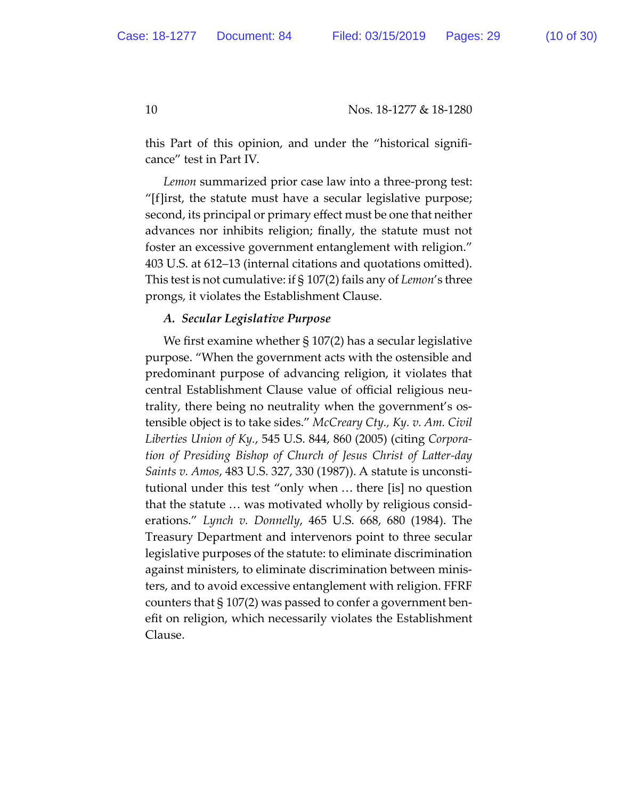this Part of this opinion, and under the "historical significance" test in Part IV.

*Lemon* summarized prior case law into a three-prong test: "[f]irst, the statute must have a secular legislative purpose; second, its principal or primary effect must be one that neither advances nor inhibits religion; finally, the statute must not foster an excessive government entanglement with religion." 403 U.S. at 612–13 (internal citations and quotations omited). This test is not cumulative: if § 107(2) fails any of *Lemon*'s three prongs, it violates the Establishment Clause.

# *A. Secular Legislative Purpose*

We first examine whether § 107(2) has a secular legislative purpose. "When the government acts with the ostensible and predominant purpose of advancing religion, it violates that central Establishment Clause value of official religious neutrality, there being no neutrality when the government's ostensible object is to take sides." *McCreary Cty., Ky. v. Am. Civil Liberties Union of Ky.*, 545 U.S. 844, 860 (2005) (citing *Corporation of Presiding Bishop of Church of Jesus Christ of Later-day Saints v. Amos*, 483 U.S. 327, 330 (1987)). A statute is unconstitutional under this test "only when … there [is] no question that the statute … was motivated wholly by religious considerations." *Lynch v. Donnelly*, 465 U.S. 668, 680 (1984). The Treasury Department and intervenors point to three secular legislative purposes of the statute: to eliminate discrimination against ministers, to eliminate discrimination between ministers, and to avoid excessive entanglement with religion. FFRF counters that § 107(2) was passed to confer a government benefit on religion, which necessarily violates the Establishment Clause.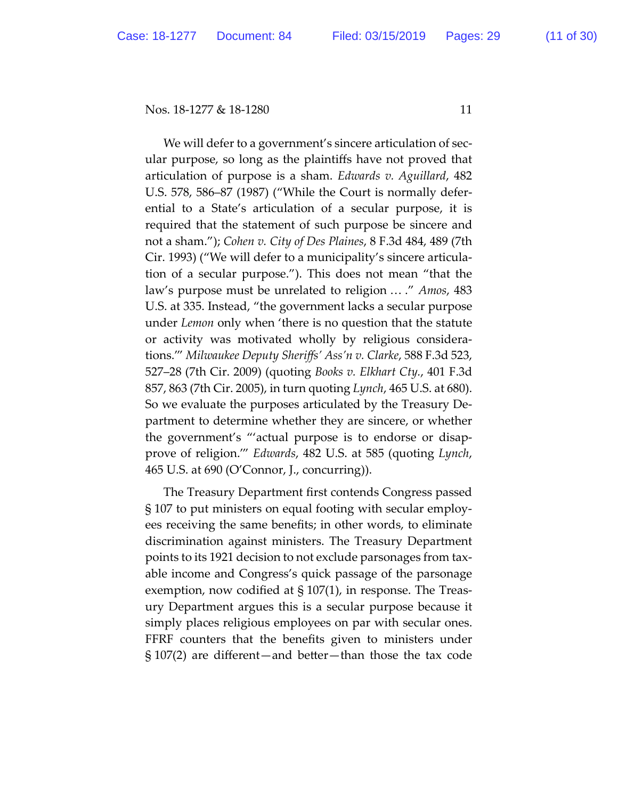We will defer to a government's sincere articulation of secular purpose, so long as the plaintiffs have not proved that articulation of purpose is a sham. *Edwards v. Aguillard*, 482 U.S. 578, 586–87 (1987) ("While the Court is normally deferential to a State's articulation of a secular purpose, it is required that the statement of such purpose be sincere and not a sham."); *Cohen v. City of Des Plaines*, 8 F.3d 484, 489 (7th Cir. 1993) ("We will defer to a municipality's sincere articulation of a secular purpose."). This does not mean "that the law's purpose must be unrelated to religion … ." *Amos*, 483 U.S. at 335. Instead, "the government lacks a secular purpose under *Lemon* only when 'there is no question that the statute or activity was motivated wholly by religious considerations.'" *Milwaukee Deputy Sheriffs' Ass'n v. Clarke*, 588 F.3d 523, 527–28 (7th Cir. 2009) (quoting *Books v. Elkhart Cty.*, 401 F.3d 857, 863 (7th Cir. 2005), in turn quoting *Lynch*, 465 U.S. at 680). So we evaluate the purposes articulated by the Treasury Department to determine whether they are sincere, or whether the government's "'actual purpose is to endorse or disapprove of religion.'" *Edwards*, 482 U.S. at 585 (quoting *Lynch*, 465 U.S. at 690 (O'Connor, J., concurring)).

The Treasury Department first contends Congress passed § 107 to put ministers on equal footing with secular employees receiving the same benefits; in other words, to eliminate discrimination against ministers. The Treasury Department points to its 1921 decision to not exclude parsonages from taxable income and Congress's quick passage of the parsonage exemption, now codified at § 107(1), in response. The Treasury Department argues this is a secular purpose because it simply places religious employees on par with secular ones. FFRF counters that the benefits given to ministers under § 107(2) are different—and beter—than those the tax code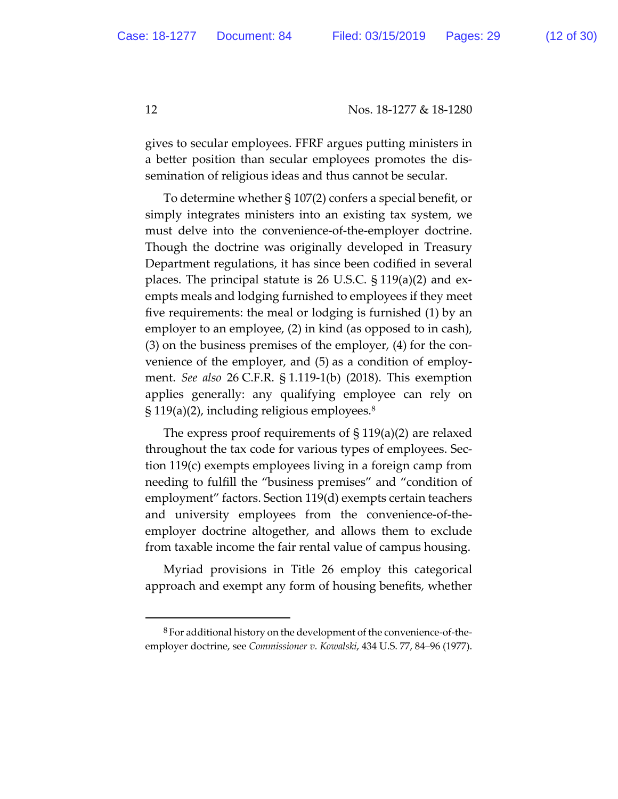gives to secular employees. FFRF argues puting ministers in a better position than secular employees promotes the dissemination of religious ideas and thus cannot be secular.

To determine whether § 107(2) confers a special benefit, or simply integrates ministers into an existing tax system, we must delve into the convenience-of-the-employer doctrine. Though the doctrine was originally developed in Treasury Department regulations, it has since been codified in several places. The principal statute is 26 U.S.C. § 119(a)(2) and exempts meals and lodging furnished to employees if they meet five requirements: the meal or lodging is furnished (1) by an employer to an employee, (2) in kind (as opposed to in cash), (3) on the business premises of the employer, (4) for the convenience of the employer, and (5) as a condition of employment. *See also* 26 C.F.R. § 1.119-1(b) (2018). This exemption applies generally: any qualifying employee can rely on  $\S 119(a)(2)$ , including religious employees.<sup>8</sup>

The express proof requirements of  $\S 119(a)(2)$  are relaxed throughout the tax code for various types of employees. Section 119(c) exempts employees living in a foreign camp from needing to fulfill the "business premises" and "condition of employment" factors. Section 119(d) exempts certain teachers and university employees from the convenience-of-theemployer doctrine altogether, and allows them to exclude from taxable income the fair rental value of campus housing.

Myriad provisions in Title 26 employ this categorical approach and exempt any form of housing benefits, whether

 <sup>8</sup> For additional history on the development of the convenience-of-theemployer doctrine, see *Commissioner v. Kowalski*, 434 U.S. 77, 84–96 (1977).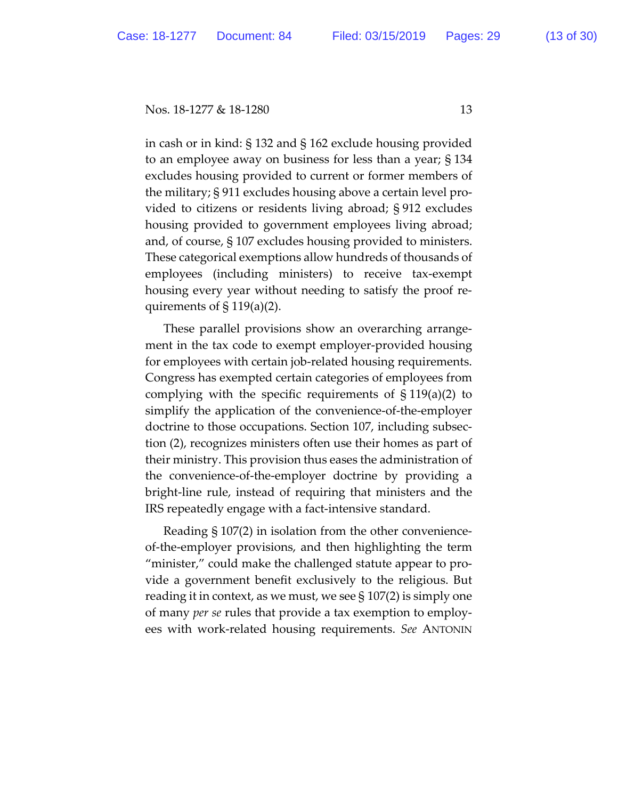in cash or in kind: § 132 and § 162 exclude housing provided to an employee away on business for less than a year; § 134 excludes housing provided to current or former members of the military; § 911 excludes housing above a certain level provided to citizens or residents living abroad; § 912 excludes housing provided to government employees living abroad; and, of course, § 107 excludes housing provided to ministers. These categorical exemptions allow hundreds of thousands of employees (including ministers) to receive tax-exempt housing every year without needing to satisfy the proof requirements of  $\S 119(a)(2)$ .

These parallel provisions show an overarching arrangement in the tax code to exempt employer-provided housing for employees with certain job-related housing requirements. Congress has exempted certain categories of employees from complying with the specific requirements of  $\S 119(a)(2)$  to simplify the application of the convenience-of-the-employer doctrine to those occupations. Section 107, including subsection (2), recognizes ministers often use their homes as part of their ministry. This provision thus eases the administration of the convenience-of-the-employer doctrine by providing a bright-line rule, instead of requiring that ministers and the IRS repeatedly engage with a fact-intensive standard.

Reading § 107(2) in isolation from the other convenienceof-the-employer provisions, and then highlighting the term "minister," could make the challenged statute appear to provide a government benefit exclusively to the religious. But reading it in context, as we must, we see  $\S 107(2)$  is simply one of many *per se* rules that provide a tax exemption to employees with work-related housing requirements. *See* ANTONIN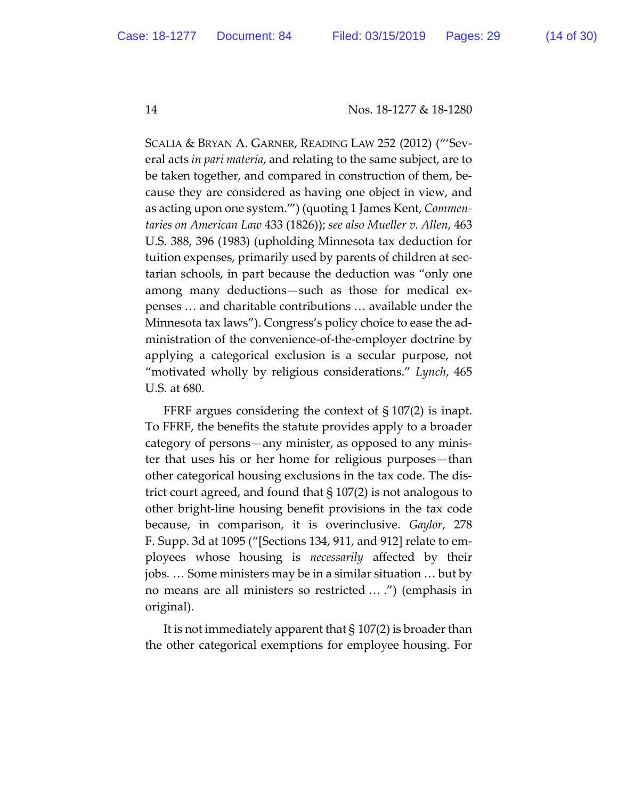SCALIA & BRYAN A. GARNER, READING LAW 252 (2012) ("'Several acts *in pari materia*, and relating to the same subject, are to be taken together, and compared in construction of them, because they are considered as having one object in view, and as acting upon one system.'") (quoting 1 James Kent, *Commentaries on American Law* 433 (1826)); *see also Mueller v. Allen*, 463 U.S. 388, 396 (1983) (upholding Minnesota tax deduction for tuition expenses, primarily used by parents of children at sectarian schools, in part because the deduction was "only one among many deductions—such as those for medical expenses … and charitable contributions … available under the Minnesota tax laws"). Congress's policy choice to ease the administration of the convenience-of-the-employer doctrine by applying a categorical exclusion is a secular purpose, not "motivated wholly by religious considerations." *Lynch*, 465 U.S. at 680.

FFRF argues considering the context of § 107(2) is inapt. To FFRF, the benefits the statute provides apply to a broader category of persons—any minister, as opposed to any minister that uses his or her home for religious purposes—than other categorical housing exclusions in the tax code. The district court agreed, and found that § 107(2) is not analogous to other bright-line housing benefit provisions in the tax code because, in comparison, it is overinclusive. *Gaylor*, 278 F. Supp. 3d at 1095 ("[Sections 134, 911, and 912] relate to employees whose housing is *necessarily* affected by their jobs. … Some ministers may be in a similar situation … but by no means are all ministers so restricted … .") (emphasis in original).

It is not immediately apparent that § 107(2) is broader than the other categorical exemptions for employee housing. For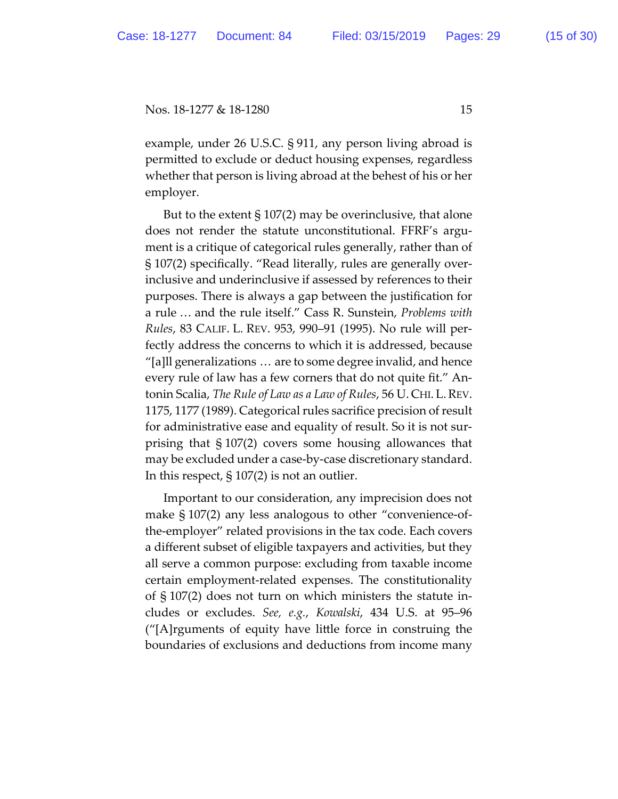example, under 26 U.S.C. § 911, any person living abroad is permited to exclude or deduct housing expenses, regardless whether that person is living abroad at the behest of his or her employer.

But to the extent  $\S 107(2)$  may be overinclusive, that alone does not render the statute unconstitutional. FFRF's argument is a critique of categorical rules generally, rather than of § 107(2) specifically. "Read literally, rules are generally overinclusive and underinclusive if assessed by references to their purposes. There is always a gap between the justification for a rule … and the rule itself." Cass R. Sunstein, *Problems with Rules*, 83 CALIF. L. REV. 953, 990–91 (1995). No rule will perfectly address the concerns to which it is addressed, because "[a]ll generalizations … are to some degree invalid, and hence every rule of law has a few corners that do not quite fit." Antonin Scalia, *The Rule of Law as a Law of Rules*, 56 U. CHI. L.REV. 1175, 1177 (1989). Categorical rules sacrifice precision of result for administrative ease and equality of result. So it is not surprising that § 107(2) covers some housing allowances that may be excluded under a case-by-case discretionary standard. In this respect, § 107(2) is not an outlier.

Important to our consideration, any imprecision does not make § 107(2) any less analogous to other "convenience-ofthe-employer" related provisions in the tax code. Each covers a different subset of eligible taxpayers and activities, but they all serve a common purpose: excluding from taxable income certain employment-related expenses. The constitutionality of § 107(2) does not turn on which ministers the statute includes or excludes. *See, e.g.*, *Kowalski*, 434 U.S. at 95–96 ("[A]rguments of equity have litle force in construing the boundaries of exclusions and deductions from income many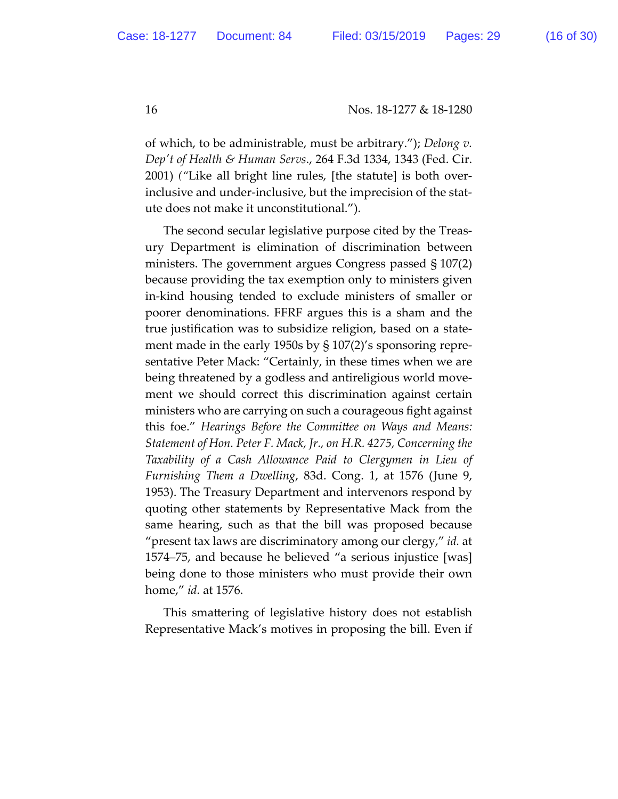of which, to be administrable, must be arbitrary."); *Delong v. Depʹt of Health & Human Servs*., 264 F.3d 1334, 1343 (Fed. Cir. 2001) *("*Like all bright line rules, [the statute] is both overinclusive and under-inclusive, but the imprecision of the statute does not make it unconstitutional.").

The second secular legislative purpose cited by the Treasury Department is elimination of discrimination between ministers. The government argues Congress passed § 107(2) because providing the tax exemption only to ministers given in-kind housing tended to exclude ministers of smaller or poorer denominations. FFRF argues this is a sham and the true justification was to subsidize religion, based on a statement made in the early 1950s by § 107(2)'s sponsoring representative Peter Mack: "Certainly, in these times when we are being threatened by a godless and antireligious world movement we should correct this discrimination against certain ministers who are carrying on such a courageous fight against this foe." *Hearings Before the Commitee on Ways and Means: Statement of Hon. Peter F. Mack, Jr., on H.R. 4275, Concerning the Taxability of a Cash Allowance Paid to Clergymen in Lieu of Furnishing Them a Dwelling*, 83d. Cong. 1, at 1576 (June 9, 1953). The Treasury Department and intervenors respond by quoting other statements by Representative Mack from the same hearing, such as that the bill was proposed because "present tax laws are discriminatory among our clergy," *id.* at 1574–75, and because he believed "a serious injustice [was] being done to those ministers who must provide their own home," *id.* at 1576.

This smatering of legislative history does not establish Representative Mack's motives in proposing the bill. Even if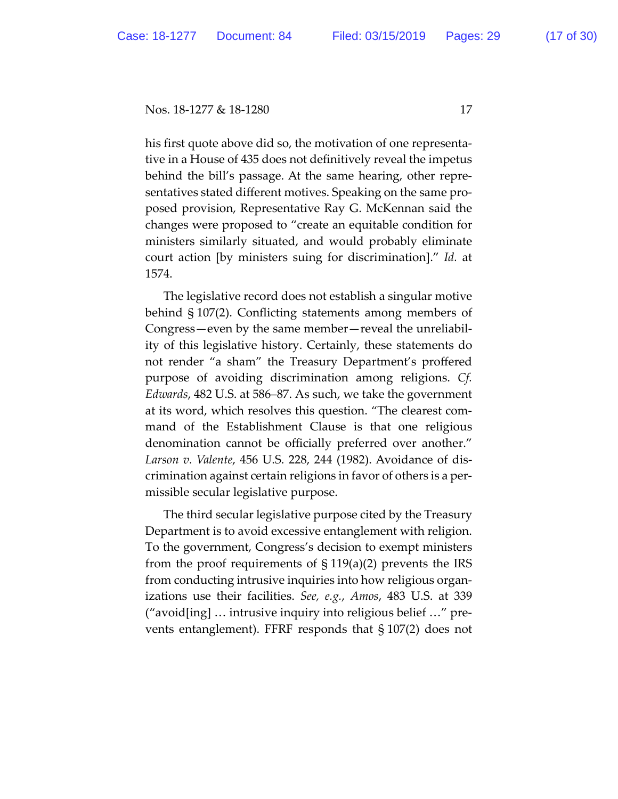his first quote above did so, the motivation of one representative in a House of 435 does not definitively reveal the impetus behind the bill's passage. At the same hearing, other representatives stated different motives. Speaking on the same proposed provision, Representative Ray G. McKennan said the changes were proposed to "create an equitable condition for ministers similarly situated, and would probably eliminate court action [by ministers suing for discrimination]." *Id.* at 1574.

The legislative record does not establish a singular motive behind § 107(2). Conflicting statements among members of Congress—even by the same member—reveal the unreliability of this legislative history. Certainly, these statements do not render "a sham" the Treasury Department's proffered purpose of avoiding discrimination among religions. *Cf. Edwards*, 482 U.S. at 586–87. As such, we take the government at its word, which resolves this question. "The clearest command of the Establishment Clause is that one religious denomination cannot be officially preferred over another." *Larson v. Valente*, 456 U.S. 228, 244 (1982). Avoidance of discrimination against certain religions in favor of others is a permissible secular legislative purpose.

The third secular legislative purpose cited by the Treasury Department is to avoid excessive entanglement with religion. To the government, Congress's decision to exempt ministers from the proof requirements of § 119(a)(2) prevents the IRS from conducting intrusive inquiries into how religious organizations use their facilities. *See, e.g.*, *Amos*, 483 U.S. at 339 ("avoid[ing] … intrusive inquiry into religious belief …" prevents entanglement). FFRF responds that § 107(2) does not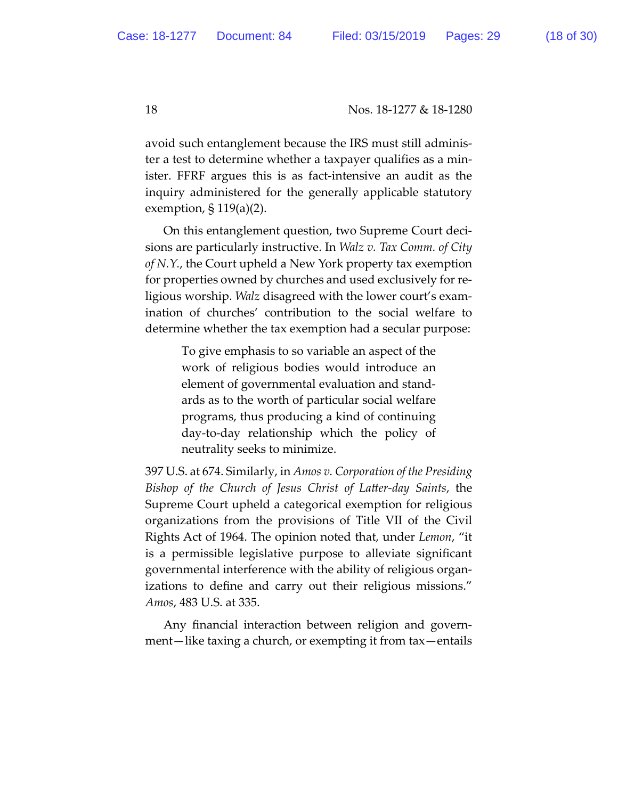avoid such entanglement because the IRS must still administer a test to determine whether a taxpayer qualifies as a minister. FFRF argues this is as fact-intensive an audit as the inquiry administered for the generally applicable statutory exemption, § 119(a)(2).

On this entanglement question, two Supreme Court decisions are particularly instructive. In *Walz v. Tax Comm. of City of N.Y.*, the Court upheld a New York property tax exemption for properties owned by churches and used exclusively for religious worship. *Walz* disagreed with the lower court's examination of churches' contribution to the social welfare to determine whether the tax exemption had a secular purpose:

> To give emphasis to so variable an aspect of the work of religious bodies would introduce an element of governmental evaluation and standards as to the worth of particular social welfare programs, thus producing a kind of continuing day-to-day relationship which the policy of neutrality seeks to minimize.

397 U.S. at 674. Similarly, in *Amos v. Corporation of the Presiding Bishop of the Church of Jesus Christ of Later-day Saints*, the Supreme Court upheld a categorical exemption for religious organizations from the provisions of Title VII of the Civil Rights Act of 1964. The opinion noted that, under *Lemon*, "it is a permissible legislative purpose to alleviate significant governmental interference with the ability of religious organizations to define and carry out their religious missions." *Amos*, 483 U.S. at 335.

Any financial interaction between religion and government—like taxing a church, or exempting it from tax—entails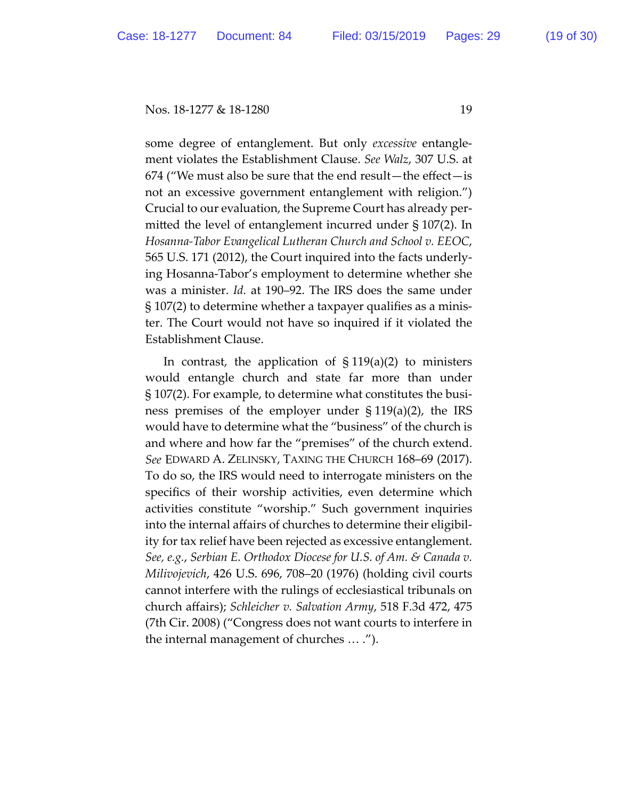some degree of entanglement. But only *excessive* entanglement violates the Establishment Clause. *See Walz*, 307 U.S. at 674 ("We must also be sure that the end result—the effect—is not an excessive government entanglement with religion.") Crucial to our evaluation, the Supreme Court has already permited the level of entanglement incurred under § 107(2). In *Hosanna-Tabor Evangelical Lutheran Church and School v. EEOC*, 565 U.S. 171 (2012), the Court inquired into the facts underlying Hosanna-Tabor's employment to determine whether she was a minister. *Id.* at 190–92. The IRS does the same under § 107(2) to determine whether a taxpayer qualifies as a minister. The Court would not have so inquired if it violated the Establishment Clause.

In contrast, the application of  $\S 119(a)(2)$  to ministers would entangle church and state far more than under § 107(2). For example, to determine what constitutes the business premises of the employer under § 119(a)(2), the IRS would have to determine what the "business" of the church is and where and how far the "premises" of the church extend. *See* EDWARD A. ZELINSKY, TAXING THE CHURCH 168–69 (2017). To do so, the IRS would need to interrogate ministers on the specifics of their worship activities, even determine which activities constitute "worship." Such government inquiries into the internal affairs of churches to determine their eligibility for tax relief have been rejected as excessive entanglement. *See, e.g.*, *Serbian E. Orthodox Diocese for U.S. of Am. & Canada v. Milivojevich*, 426 U.S. 696, 708–20 (1976) (holding civil courts cannot interfere with the rulings of ecclesiastical tribunals on church affairs); *Schleicher v. Salvation Army*, 518 F.3d 472, 475 (7th Cir. 2008) ("Congress does not want courts to interfere in the internal management of churches … .").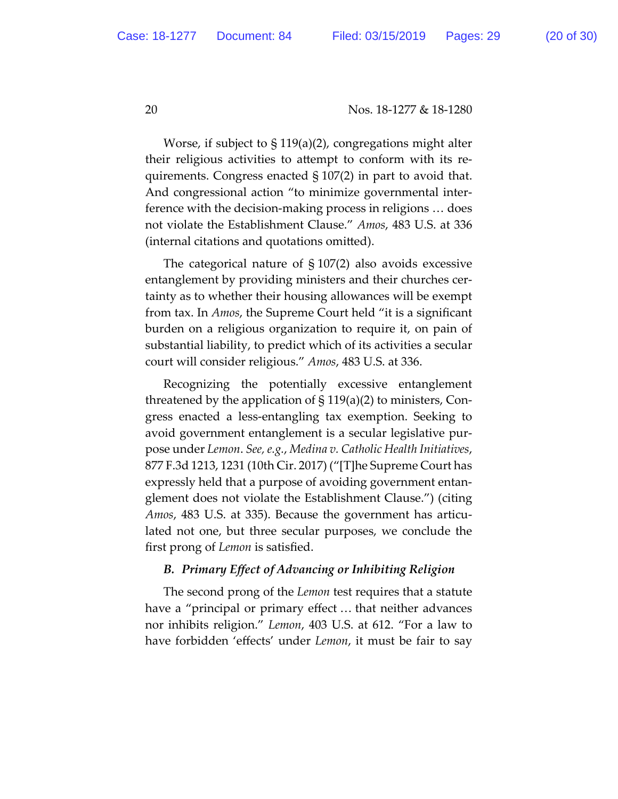Worse, if subject to § 119(a)(2), congregations might alter their religious activities to atempt to conform with its requirements. Congress enacted § 107(2) in part to avoid that. And congressional action "to minimize governmental interference with the decision-making process in religions … does not violate the Establishment Clause." *Amos*, 483 U.S. at 336 (internal citations and quotations omited).

The categorical nature of § 107(2) also avoids excessive entanglement by providing ministers and their churches certainty as to whether their housing allowances will be exempt from tax. In *Amos*, the Supreme Court held "it is a significant burden on a religious organization to require it, on pain of substantial liability, to predict which of its activities a secular court will consider religious." *Amos*, 483 U.S. at 336.

Recognizing the potentially excessive entanglement threatened by the application of  $\S 119(a)(2)$  to ministers, Congress enacted a less-entangling tax exemption. Seeking to avoid government entanglement is a secular legislative purpose under *Lemon*. *See, e.g.*, *Medina v. Catholic Health Initiatives*, 877 F.3d 1213, 1231 (10th Cir. 2017) ("[T]he Supreme Court has expressly held that a purpose of avoiding government entanglement does not violate the Establishment Clause.") (citing *Amos*, 483 U.S. at 335). Because the government has articulated not one, but three secular purposes, we conclude the first prong of *Lemon* is satisfied.

### *B. Primary Effect of Advancing or Inhibiting Religion*

The second prong of the *Lemon* test requires that a statute have a "principal or primary effect … that neither advances nor inhibits religion." *Lemon*, 403 U.S. at 612. "For a law to have forbidden 'effects' under *Lemon*, it must be fair to say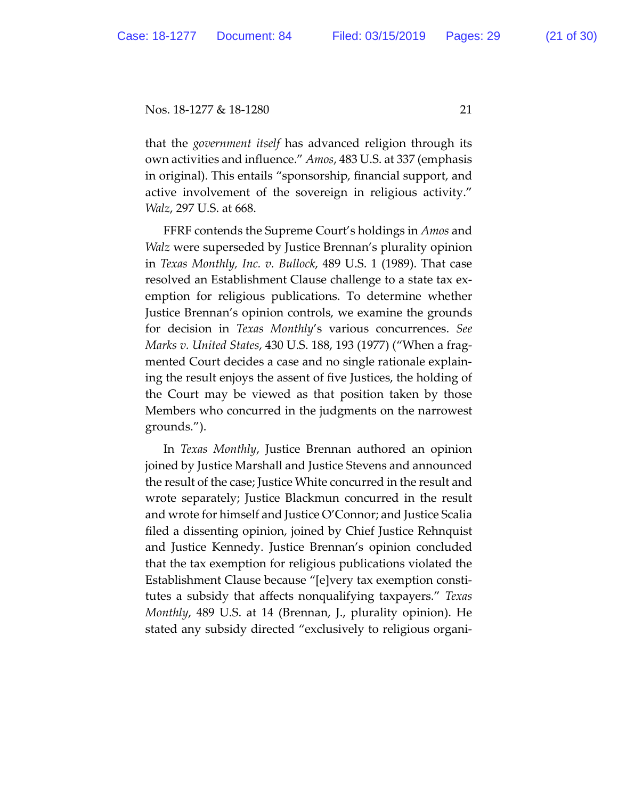that the *government itself* has advanced religion through its own activities and influence." *Amos*, 483 U.S. at 337 (emphasis in original). This entails "sponsorship, financial support, and active involvement of the sovereign in religious activity." *Walz*, 297 U.S. at 668.

FFRF contends the Supreme Court's holdings in *Amos* and *Walz* were superseded by Justice Brennan's plurality opinion in *Texas Monthly, Inc. v. Bullock*, 489 U.S. 1 (1989). That case resolved an Establishment Clause challenge to a state tax exemption for religious publications. To determine whether Justice Brennan's opinion controls, we examine the grounds for decision in *Texas Monthly*'s various concurrences. *See Marks v. United States*, 430 U.S. 188, 193 (1977) ("When a fragmented Court decides a case and no single rationale explaining the result enjoys the assent of five Justices, the holding of the Court may be viewed as that position taken by those Members who concurred in the judgments on the narrowest grounds.").

In *Texas Monthly*, Justice Brennan authored an opinion joined by Justice Marshall and Justice Stevens and announced the result of the case; Justice White concurred in the result and wrote separately; Justice Blackmun concurred in the result and wrote for himself and Justice O'Connor; and Justice Scalia filed a dissenting opinion, joined by Chief Justice Rehnquist and Justice Kennedy. Justice Brennan's opinion concluded that the tax exemption for religious publications violated the Establishment Clause because "[e]very tax exemption constitutes a subsidy that affects nonqualifying taxpayers." *Texas Monthly*, 489 U.S. at 14 (Brennan, J., plurality opinion). He stated any subsidy directed "exclusively to religious organi-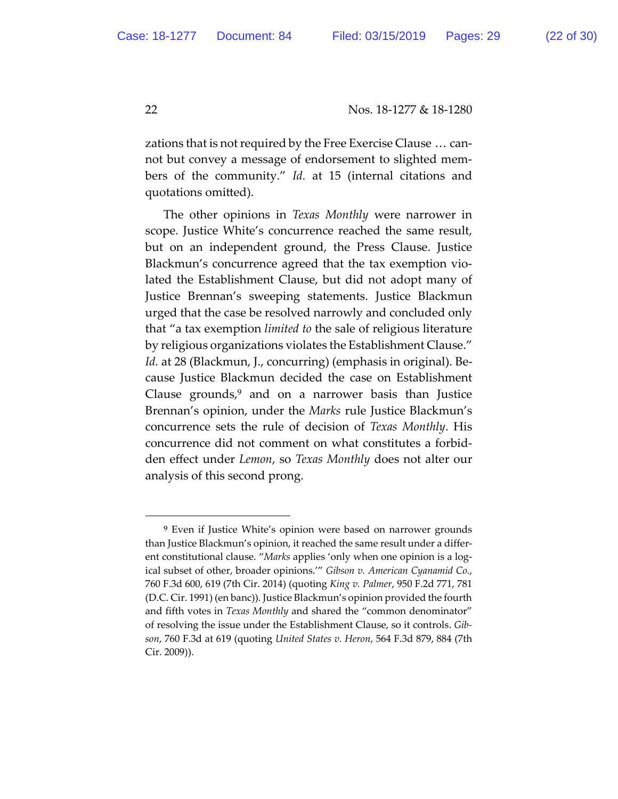zations that is not required by the Free Exercise Clause … cannot but convey a message of endorsement to slighted members of the community." *Id.* at 15 (internal citations and quotations omited).

The other opinions in *Texas Monthly* were narrower in scope. Justice White's concurrence reached the same result, but on an independent ground, the Press Clause. Justice Blackmun's concurrence agreed that the tax exemption violated the Establishment Clause, but did not adopt many of Justice Brennan's sweeping statements. Justice Blackmun urged that the case be resolved narrowly and concluded only that "a tax exemption *limited to* the sale of religious literature by religious organizations violates the Establishment Clause." *Id.* at 28 (Blackmun, J., concurring) (emphasis in original). Because Justice Blackmun decided the case on Establishment Clause grounds, $9$  and on a narrower basis than Justice Brennan's opinion, under the *Marks* rule Justice Blackmun's concurrence sets the rule of decision of *Texas Monthly*. His concurrence did not comment on what constitutes a forbidden effect under *Lemon*, so *Texas Monthly* does not alter our analysis of this second prong.

 $\overline{a}$ 

<sup>9</sup> Even if Justice White's opinion were based on narrower grounds than Justice Blackmun's opinion, it reached the same result under a different constitutional clause. "*Marks* applies 'only when one opinion is a logical subset of other, broader opinions.'" *Gibson v. American Cyanamid Co.*, 760 F.3d 600, 619 (7th Cir. 2014) (quoting *King v. Palmer*, 950 F.2d 771, 781 (D.C. Cir. 1991) (en banc)). Justice Blackmun's opinion provided the fourth and fifth votes in *Texas Monthly* and shared the "common denominator" of resolving the issue under the Establishment Clause, so it controls. *Gibson*, 760 F.3d at 619 (quoting *United States v. Heron*, 564 F.3d 879, 884 (7th Cir. 2009)).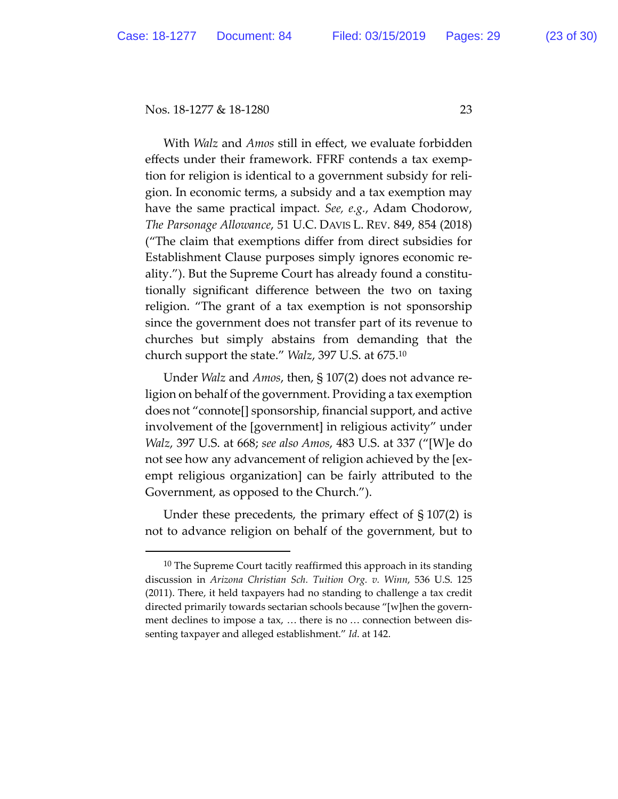With *Walz* and *Amos* still in effect, we evaluate forbidden effects under their framework. FFRF contends a tax exemption for religion is identical to a government subsidy for religion. In economic terms, a subsidy and a tax exemption may have the same practical impact. *See, e.g.*, Adam Chodorow, *The Parsonage Allowance*, 51 U.C. DAVIS L. REV. 849, 854 (2018) ("The claim that exemptions differ from direct subsidies for Establishment Clause purposes simply ignores economic reality."). But the Supreme Court has already found a constitutionally significant difference between the two on taxing religion. "The grant of a tax exemption is not sponsorship since the government does not transfer part of its revenue to churches but simply abstains from demanding that the church support the state." *Walz*, 397 U.S. at 675.10

Under *Walz* and *Amos*, then, § 107(2) does not advance religion on behalf of the government. Providing a tax exemption does not "connote[] sponsorship, financial support, and active involvement of the [government] in religious activity" under *Walz*, 397 U.S. at 668; *see also Amos*, 483 U.S. at 337 ("[W]e do not see how any advancement of religion achieved by the [exempt religious organization] can be fairly atributed to the Government, as opposed to the Church.").

Under these precedents, the primary effect of § 107(2) is not to advance religion on behalf of the government, but to

 $10$  The Supreme Court tacitly reaffirmed this approach in its standing discussion in *Arizona Christian Sch. Tuition Org. v. Winn*, 536 U.S. 125 (2011). There, it held taxpayers had no standing to challenge a tax credit directed primarily towards sectarian schools because "[w]hen the government declines to impose a tax, … there is no … connection between dissenting taxpayer and alleged establishment." *Id*. at 142.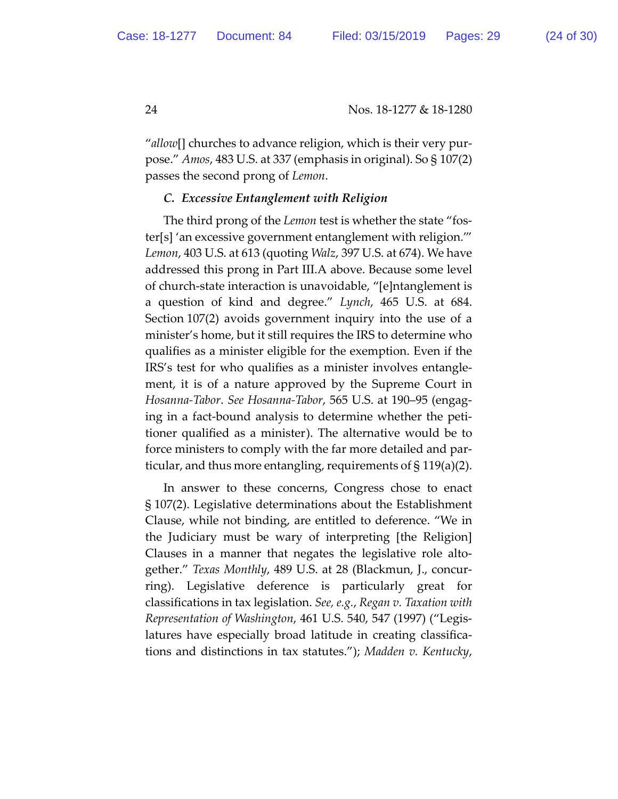"*allow*[] churches to advance religion, which is their very purpose." *Amos*, 483 U.S. at 337 (emphasis in original). So § 107(2) passes the second prong of *Lemon*.

# *C. Excessive Entanglement with Religion*

The third prong of the *Lemon* test is whether the state "foster[s] 'an excessive government entanglement with religion.'" *Lemon*, 403 U.S. at 613 (quoting *Walz*, 397 U.S. at 674). We have addressed this prong in Part III.A above. Because some level of church-state interaction is unavoidable, "[e]ntanglement is a question of kind and degree." *Lynch*, 465 U.S. at 684. Section 107(2) avoids government inquiry into the use of a minister's home, but it still requires the IRS to determine who qualifies as a minister eligible for the exemption. Even if the IRS's test for who qualifies as a minister involves entanglement, it is of a nature approved by the Supreme Court in *Hosanna-Tabor*. *See Hosanna-Tabor*, 565 U.S. at 190–95 (engaging in a fact-bound analysis to determine whether the petitioner qualified as a minister). The alternative would be to force ministers to comply with the far more detailed and particular, and thus more entangling, requirements of § 119(a)(2).

In answer to these concerns, Congress chose to enact § 107(2). Legislative determinations about the Establishment Clause, while not binding, are entitled to deference. "We in the Judiciary must be wary of interpreting [the Religion] Clauses in a manner that negates the legislative role altogether." *Texas Monthly*, 489 U.S. at 28 (Blackmun, J., concurring). Legislative deference is particularly great for classifications in tax legislation. *See, e.g.*, *Regan v. Taxation with Representation of Washington*, 461 U.S. 540, 547 (1997) ("Legislatures have especially broad latitude in creating classifications and distinctions in tax statutes."); *Madden v. Kentucky*,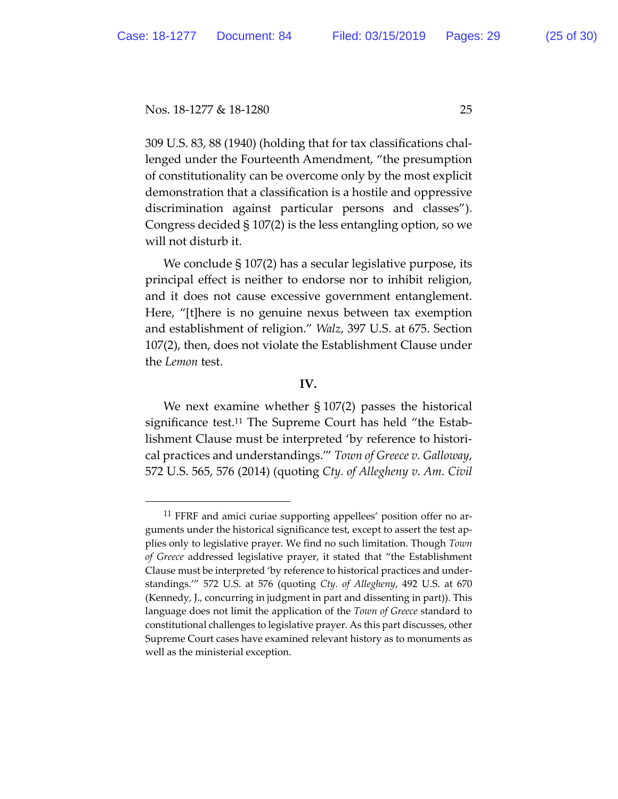309 U.S. 83, 88 (1940) (holding that for tax classifications challenged under the Fourteenth Amendment, "the presumption of constitutionality can be overcome only by the most explicit demonstration that a classification is a hostile and oppressive discrimination against particular persons and classes"). Congress decided § 107(2) is the less entangling option, so we will not disturb it.

We conclude § 107(2) has a secular legislative purpose, its principal effect is neither to endorse nor to inhibit religion, and it does not cause excessive government entanglement. Here, "[t]here is no genuine nexus between tax exemption and establishment of religion." *Walz*, 397 U.S. at 675. Section 107(2), then, does not violate the Establishment Clause under the *Lemon* test.

### **IV.**

We next examine whether  $\S 107(2)$  passes the historical significance test.11 The Supreme Court has held "the Establishment Clause must be interpreted 'by reference to historical practices and understandings.'" *Town of Greece v. Galloway*, 572 U.S. 565, 576 (2014) (quoting *Cty. of Allegheny v. Am. Civil* 

<sup>&</sup>lt;sup>11</sup> FFRF and amici curiae supporting appellees' position offer no arguments under the historical significance test, except to assert the test applies only to legislative prayer. We find no such limitation. Though *Town of Greece* addressed legislative prayer, it stated that "the Establishment Clause must be interpreted 'by reference to historical practices and understandings.'" 572 U.S. at 576 (quoting *Cty. of Allegheny*, 492 U.S. at 670 (Kennedy, J., concurring in judgment in part and dissenting in part)). This language does not limit the application of the *Town of Greece* standard to constitutional challenges to legislative prayer. As this part discusses, other Supreme Court cases have examined relevant history as to monuments as well as the ministerial exception.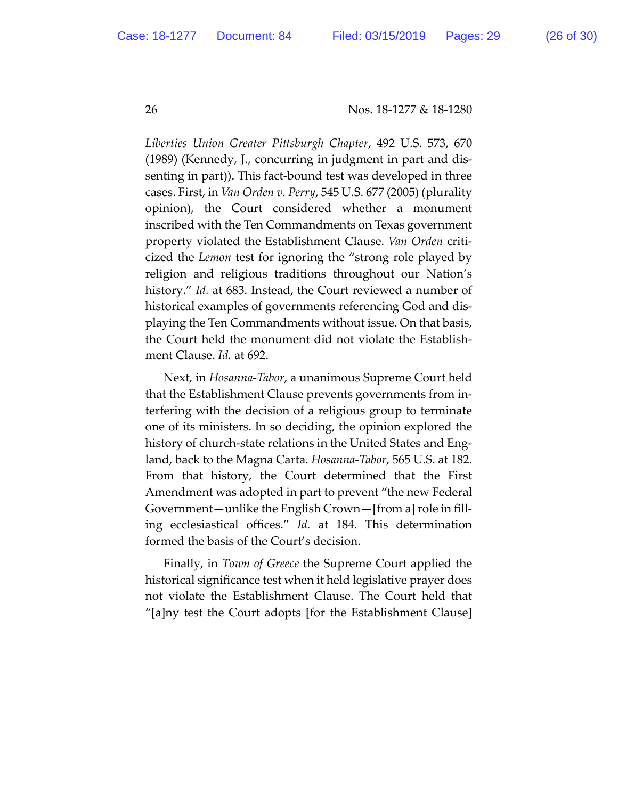*Liberties Union Greater Pitsburgh Chapter*, 492 U.S. 573, 670 (1989) (Kennedy, J., concurring in judgment in part and dissenting in part)). This fact-bound test was developed in three cases. First, in *Van Orden v. Perry*, 545 U.S. 677 (2005) (plurality opinion), the Court considered whether a monument inscribed with the Ten Commandments on Texas government property violated the Establishment Clause. *Van Orden* criticized the *Lemon* test for ignoring the "strong role played by religion and religious traditions throughout our Nation's history." *Id.* at 683. Instead, the Court reviewed a number of historical examples of governments referencing God and displaying the Ten Commandments without issue. On that basis, the Court held the monument did not violate the Establishment Clause. *Id.* at 692.

Next, in *Hosanna-Tabor*, a unanimous Supreme Court held that the Establishment Clause prevents governments from interfering with the decision of a religious group to terminate one of its ministers. In so deciding, the opinion explored the history of church-state relations in the United States and England, back to the Magna Carta. *Hosanna-Tabor*, 565 U.S. at 182. From that history, the Court determined that the First Amendment was adopted in part to prevent "the new Federal Government—unlike the English Crown—[from a] role in filling ecclesiastical offices." *Id.* at 184. This determination formed the basis of the Court's decision.

Finally, in *Town of Greece* the Supreme Court applied the historical significance test when it held legislative prayer does not violate the Establishment Clause. The Court held that "[a]ny test the Court adopts [for the Establishment Clause]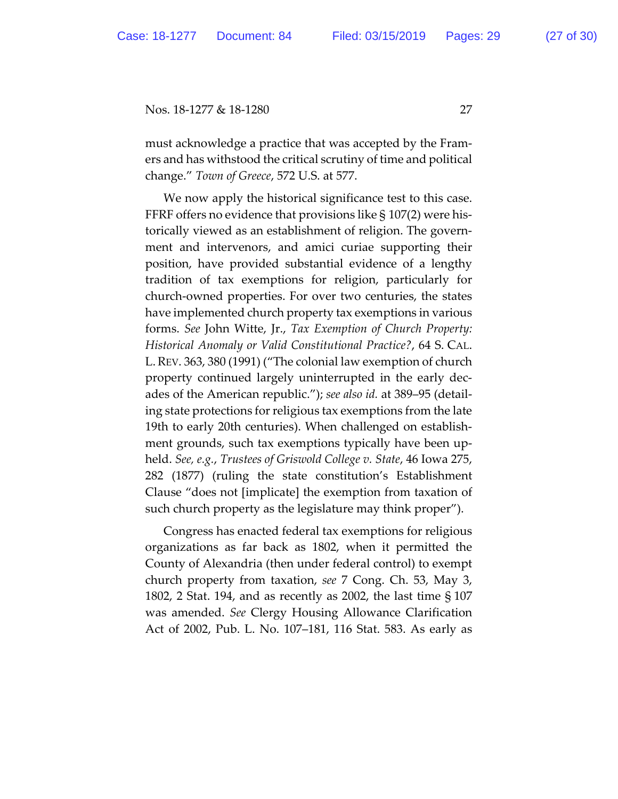must acknowledge a practice that was accepted by the Framers and has withstood the critical scrutiny of time and political change." *Town of Greece*, 572 U.S. at 577.

We now apply the historical significance test to this case. FFRF offers no evidence that provisions like  $\S 107(2)$  were historically viewed as an establishment of religion. The government and intervenors, and amici curiae supporting their position, have provided substantial evidence of a lengthy tradition of tax exemptions for religion, particularly for church-owned properties. For over two centuries, the states have implemented church property tax exemptions in various forms. *See* John Witte, Jr., *Tax Exemption of Church Property: Historical Anomaly or Valid Constitutional Practice?*, 64 S. CAL. L.REV. 363, 380 (1991) ("The colonial law exemption of church property continued largely uninterrupted in the early decades of the American republic."); *see also id.* at 389–95 (detailing state protections for religious tax exemptions from the late 19th to early 20th centuries). When challenged on establishment grounds, such tax exemptions typically have been upheld. *See, e.g.*, *Trustees of Griswold College v. State*, 46 Iowa 275, 282 (1877) (ruling the state constitution's Establishment Clause "does not [implicate] the exemption from taxation of such church property as the legislature may think proper").

Congress has enacted federal tax exemptions for religious organizations as far back as 1802, when it permitted the County of Alexandria (then under federal control) to exempt church property from taxation, *see* 7 Cong. Ch. 53, May 3, 1802, 2 Stat. 194, and as recently as 2002, the last time § 107 was amended. *See* Clergy Housing Allowance Clarification Act of 2002, Pub. L. No. 107–181, 116 Stat. 583. As early as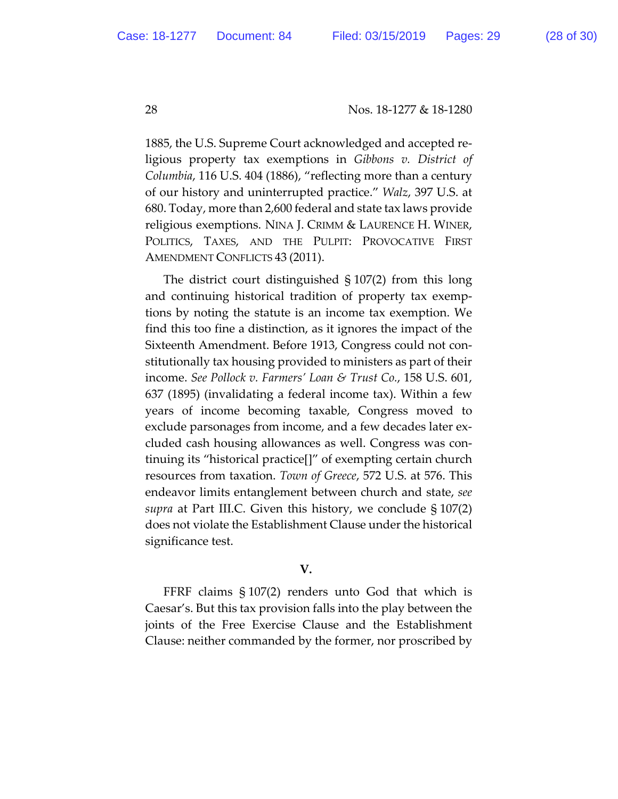1885, the U.S. Supreme Court acknowledged and accepted religious property tax exemptions in *Gibbons v. District of Columbia*, 116 U.S. 404 (1886), "reflecting more than a century of our history and uninterrupted practice." *Walz*, 397 U.S. at 680. Today, more than 2,600 federal and state tax laws provide religious exemptions. NINA J. CRIMM & LAURENCE H. WINER, POLITICS, TAXES, AND THE PULPIT: PROVOCATIVE FIRST AMENDMENT CONFLICTS 43 (2011).

The district court distinguished § 107(2) from this long and continuing historical tradition of property tax exemptions by noting the statute is an income tax exemption. We find this too fine a distinction, as it ignores the impact of the Sixteenth Amendment. Before 1913, Congress could not constitutionally tax housing provided to ministers as part of their income. *See Pollock v. Farmers' Loan & Trust Co.*, 158 U.S. 601, 637 (1895) (invalidating a federal income tax). Within a few years of income becoming taxable, Congress moved to exclude parsonages from income, and a few decades later excluded cash housing allowances as well. Congress was continuing its "historical practice[]" of exempting certain church resources from taxation. *Town of Greece*, 572 U.S. at 576. This endeavor limits entanglement between church and state, *see supra* at Part III.C. Given this history, we conclude § 107(2) does not violate the Establishment Clause under the historical significance test.

# **V.**

FFRF claims § 107(2) renders unto God that which is Caesar's. But this tax provision falls into the play between the joints of the Free Exercise Clause and the Establishment Clause: neither commanded by the former, nor proscribed by